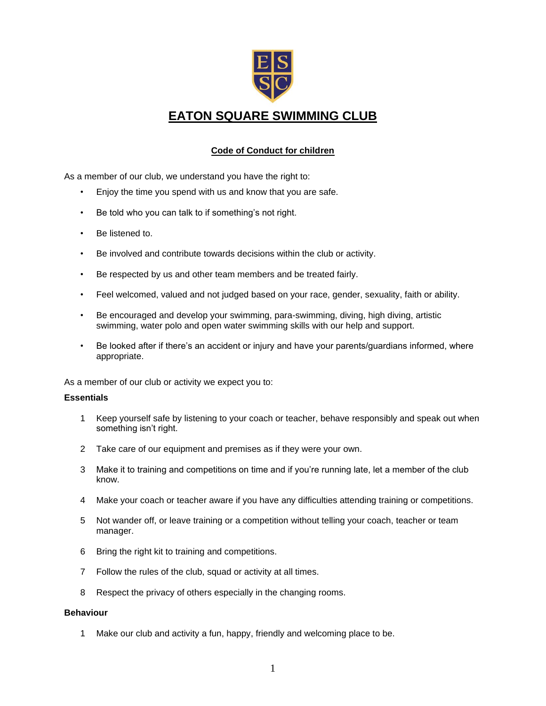

## **EATON SQUARE SWIMMING CLUB**

### **Code of Conduct for children**

As a member of our club, we understand you have the right to:

- Enjoy the time you spend with us and know that you are safe.
- Be told who you can talk to if something's not right.
- Be listened to.
- Be involved and contribute towards decisions within the club or activity.
- Be respected by us and other team members and be treated fairly.
- Feel welcomed, valued and not judged based on your race, gender, sexuality, faith or ability.
- Be encouraged and develop your swimming, para-swimming, diving, high diving, artistic swimming, water polo and open water swimming skills with our help and support.
- Be looked after if there's an accident or injury and have your parents/guardians informed, where appropriate.

As a member of our club or activity we expect you to:

#### **Essentials**

- 1 Keep yourself safe by listening to your coach or teacher, behave responsibly and speak out when something isn't right.
- 2 Take care of our equipment and premises as if they were your own.
- 3 Make it to training and competitions on time and if you're running late, let a member of the club know.
- 4 Make your coach or teacher aware if you have any difficulties attending training or competitions.
- 5 Not wander off, or leave training or a competition without telling your coach, teacher or team manager.
- 6 Bring the right kit to training and competitions.
- 7 Follow the rules of the club, squad or activity at all times.
- 8 Respect the privacy of others especially in the changing rooms.

### **Behaviour**

1 Make our club and activity a fun, happy, friendly and welcoming place to be.